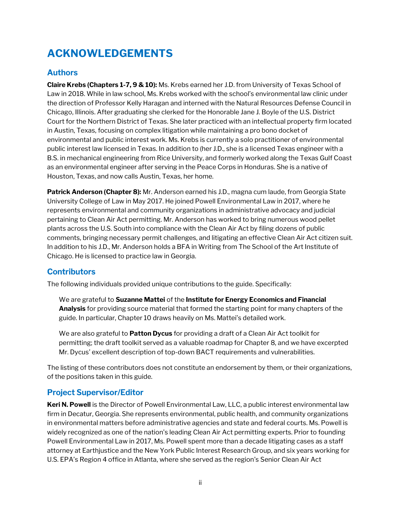## ACKNOWLEDGEMENTS

### **Authors**

**Claire Krebs (Chapters 1-7, 9 & 10):** Ms. Krebs earned her J.D. from University of Texas School of Law in 2018. While in law school, Ms. Krebs worked with the school's environmental law clinic under the direction of Professor Kelly Haragan and interned with the Natural Resources Defense Council in Chicago, Illinois. After graduating she clerked for the Honorable Jane J. Boyle of the U.S. District Court for the Northern District of Texas. She later practiced with an intellectual property firm located in Austin, Texas, focusing on complex litigation while maintaining a pro bono docket of environmental and public interest work. Ms. Krebs is currently a solo practitioner of environmental public interest law licensed in Texas. In addition to (her J.D., she is a licensed Texas engineer with a B.S. in mechanical engineering from Rice University, and formerly worked along the Texas Gulf Coast as an environmental engineer after serving in the Peace Corps in Honduras. She is a native of Houston, Texas, and now calls Austin, Texas, her home.

Patrick Anderson (Chapter 8): Mr. Anderson earned his J.D., magna cum laude, from Georgia State University College of Law in May 2017. He joined Powell Environmental Law in 2017, where he represents environmental and community organizations in administrative advocacy and judicial pertaining to Clean Air Act permitting. Mr. Anderson has worked to bring numerous wood pellet plants across the U.S. South into compliance with the Clean Air Act by filing dozens of public comments, bringing necessary permit challenges, and litigating an effective Clean Air Act citizen suit. In addition to his J.D., Mr. Anderson holds a BFA in Writing from The School of the Art Institute of Chicago. He is licensed to practice law in Georgia.

#### **Contributors**

The following individuals provided unique contributions to the guide. Specifically:

We are grateful to **Suzanne Mattei** of the **Institute for Energy Economics and Financial Analysis** for providing source material that formed the starting point for many chapters of the guide. In particular, Chapter 10 draws heavily on Ms. Mattei's detailed work.

We are also grateful to Patton Dycus for providing a draft of a Clean Air Act toolkit for permitting; the draft toolkit served as a valuable roadmap for Chapter 8, and we have excerpted Mr. Dycus' excellent description of top-down BACT requirements and vulnerabilities.

The listing of these contributors does not constitute an endorsement by them, or their organizations, of the positions taken in this guide.

#### Project Supervisor/Editor

Keri N. Powell is the Director of Powell Environmental Law, LLC, a public interest environmental law firm in Decatur, Georgia. She represents environmental, public health, and community organizations in environmental matters before administrative agencies and state and federal courts. Ms. Powell is widely recognized as one of the nation's leading Clean Air Act permitting experts. Prior to founding Powell Environmental Law in 2017, Ms. Powell spent more than a decade litigating cases as a staff attorney at Earthjustice and the New York Public Interest Research Group, and six years working for U.S. EPA's Region 4 office in Atlanta, where she served as the region's Senior Clean Air Act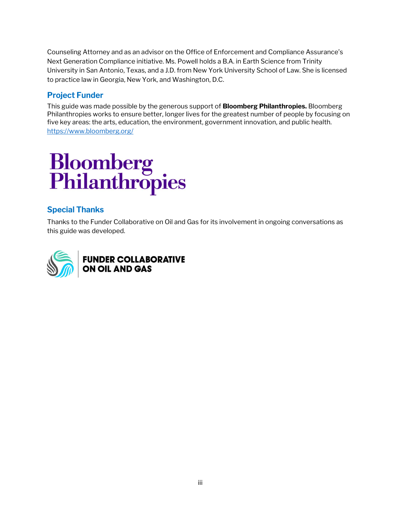Counseling Attorney and as an advisor on the Office of Enforcement and Compliance Assurance's Next Generation Compliance initiative. Ms. Powell holds a B.A. in Earth Science from Trinity University in San Antonio, Texas, and a J.D. from New York University School of Law. She is licensed to practice law in Georgia, New York, and Washington, D.C.

#### Project Funder

This guide was made possible by the generous support of **Bloomberg Philanthropies.** Bloomberg Philanthropies works to ensure better, longer lives for the greatest number of people by focusing on five key areas: the arts, education, the environment, government innovation, and public health. https://www.bloomberg.org/

# **Bloomberg<br>Philanthropies**

#### Special Thanks

Thanks to the Funder Collaborative on Oil and Gas for its involvement in ongoing conversations as this guide was developed.

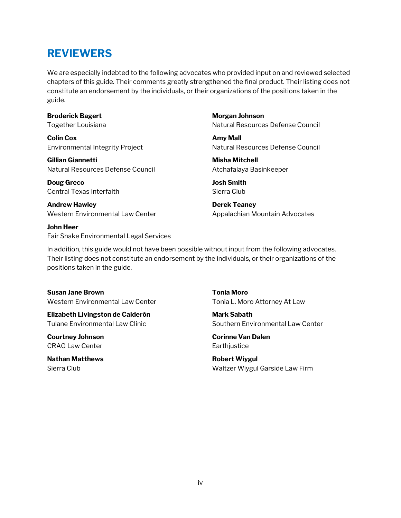## REVIEWERS

We are especially indebted to the following advocates who provided input on and reviewed selected chapters of this guide. Their comments greatly strengthened the final product. Their listing does not constitute an endorsement by the individuals, or their organizations of the positions taken in the guide.

#### Broderick Bagert

Together Louisiana

Colin Cox Environmental Integrity Project

Gillian Giannetti Natural Resources Defense Council

Doug Greco Central Texas Interfaith

Andrew Hawley Western Environmental Law Center

John Heer Fair Shake Environmental Legal Services Morgan Johnson Natural Resources Defense Council

Amy Mall Natural Resources Defense Council

Misha Mitchell Atchafalaya Basinkeeper

Josh Smith Sierra Club

Derek Teaney Appalachian Mountain Advocates

In addition, this guide would not have been possible without input from the following advocates. Their listing does not constitute an endorsement by the individuals, or their organizations of the positions taken in the guide.

Susan Jane Brown Western Environmental Law Center

Elizabeth Livingston de Calderón Tulane Environmental Law Clinic

Courtney Johnson CRAG Law Center

Nathan Matthews Sierra Club

Tonia Moro Tonia L. Moro Attorney At Law

Mark Sabath Southern Environmental Law Center

Corinne Van Dalen **Earthjustice** 

Robert Wiygul Waltzer Wiygul Garside Law Firm